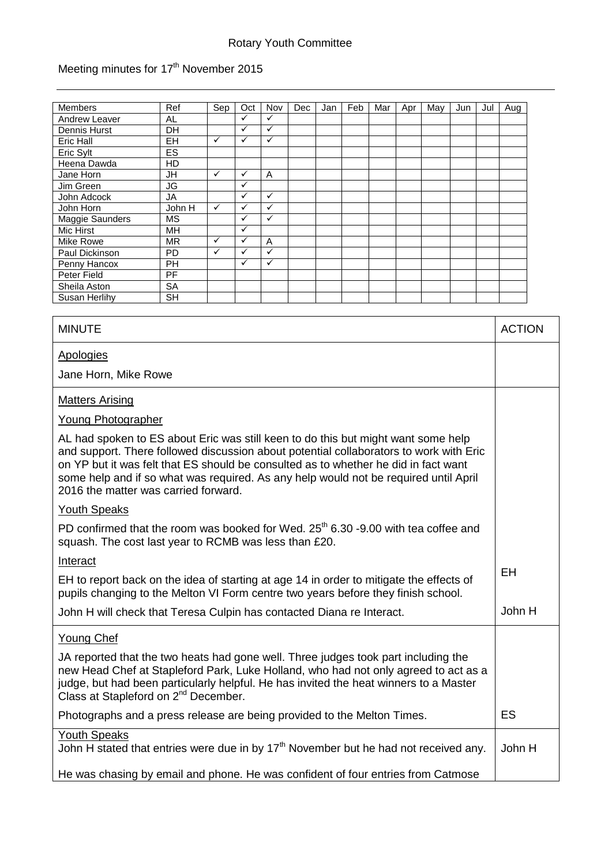## Rotary Youth Committee

## Meeting minutes for 17<sup>th</sup> November 2015

| <b>Members</b>       | Ref       | Sep | Oct          | Nov          | Dec | Jan | Feb | Mar | Apr | May | Jun | Jul | Aug |
|----------------------|-----------|-----|--------------|--------------|-----|-----|-----|-----|-----|-----|-----|-----|-----|
| <b>Andrew Leaver</b> | AL        |     | ✓            | ✓            |     |     |     |     |     |     |     |     |     |
| Dennis Hurst         | DH        |     | $\checkmark$ | $\checkmark$ |     |     |     |     |     |     |     |     |     |
| Eric Hall            | <b>EH</b> | ✓   | $\checkmark$ | $\checkmark$ |     |     |     |     |     |     |     |     |     |
| Eric Sylt            | ES        |     |              |              |     |     |     |     |     |     |     |     |     |
| Heena Dawda          | HD        |     |              |              |     |     |     |     |     |     |     |     |     |
| Jane Horn            | <b>JH</b> | ✓   | $\checkmark$ | A            |     |     |     |     |     |     |     |     |     |
| Jim Green            | JG        |     | ✓            |              |     |     |     |     |     |     |     |     |     |
| John Adcock          | JA        |     | ✓            | ✓            |     |     |     |     |     |     |     |     |     |
| John Horn            | John H    | ✓   | ✓            | ✓            |     |     |     |     |     |     |     |     |     |
| Maggie Saunders      | <b>MS</b> |     | ✓            | $\checkmark$ |     |     |     |     |     |     |     |     |     |
| Mic Hirst            | <b>MH</b> |     | ✓            |              |     |     |     |     |     |     |     |     |     |
| Mike Rowe            | <b>MR</b> | ✓   | $\checkmark$ | A            |     |     |     |     |     |     |     |     |     |
| Paul Dickinson       | <b>PD</b> | ✓   | ✓            | ✓            |     |     |     |     |     |     |     |     |     |
| Penny Hancox         | PH        |     | ✓            | ✓            |     |     |     |     |     |     |     |     |     |
| Peter Field          | PF        |     |              |              |     |     |     |     |     |     |     |     |     |
| Sheila Aston         | <b>SA</b> |     |              |              |     |     |     |     |     |     |     |     |     |
| Susan Herlihy        | <b>SH</b> |     |              |              |     |     |     |     |     |     |     |     |     |

| <b>MINUTE</b>                                                                                                                                                                                                                                                                                                                                                                                      | <b>ACTION</b> |  |  |  |
|----------------------------------------------------------------------------------------------------------------------------------------------------------------------------------------------------------------------------------------------------------------------------------------------------------------------------------------------------------------------------------------------------|---------------|--|--|--|
| <b>Apologies</b>                                                                                                                                                                                                                                                                                                                                                                                   |               |  |  |  |
| Jane Horn, Mike Rowe                                                                                                                                                                                                                                                                                                                                                                               |               |  |  |  |
| <b>Matters Arising</b>                                                                                                                                                                                                                                                                                                                                                                             |               |  |  |  |
| Young Photographer                                                                                                                                                                                                                                                                                                                                                                                 |               |  |  |  |
| AL had spoken to ES about Eric was still keen to do this but might want some help<br>and support. There followed discussion about potential collaborators to work with Eric<br>on YP but it was felt that ES should be consulted as to whether he did in fact want<br>some help and if so what was required. As any help would not be required until April<br>2016 the matter was carried forward. |               |  |  |  |
| <b>Youth Speaks</b>                                                                                                                                                                                                                                                                                                                                                                                |               |  |  |  |
| PD confirmed that the room was booked for Wed. 25 <sup>th</sup> 6.30 -9.00 with tea coffee and<br>squash. The cost last year to RCMB was less than £20.                                                                                                                                                                                                                                            |               |  |  |  |
| Interact                                                                                                                                                                                                                                                                                                                                                                                           | <b>EH</b>     |  |  |  |
| EH to report back on the idea of starting at age 14 in order to mitigate the effects of<br>pupils changing to the Melton VI Form centre two years before they finish school.                                                                                                                                                                                                                       |               |  |  |  |
| John H will check that Teresa Culpin has contacted Diana re Interact.                                                                                                                                                                                                                                                                                                                              | John H        |  |  |  |
| <b>Young Chef</b>                                                                                                                                                                                                                                                                                                                                                                                  |               |  |  |  |
| JA reported that the two heats had gone well. Three judges took part including the<br>new Head Chef at Stapleford Park, Luke Holland, who had not only agreed to act as a<br>judge, but had been particularly helpful. He has invited the heat winners to a Master<br>Class at Stapleford on 2 <sup>nd</sup> December.                                                                             |               |  |  |  |
| Photographs and a press release are being provided to the Melton Times.                                                                                                                                                                                                                                                                                                                            | <b>ES</b>     |  |  |  |
| <b>Youth Speaks</b><br>John H stated that entries were due in by 17 <sup>th</sup> November but he had not received any.                                                                                                                                                                                                                                                                            |               |  |  |  |
| He was chasing by email and phone. He was confident of four entries from Catmose                                                                                                                                                                                                                                                                                                                   |               |  |  |  |